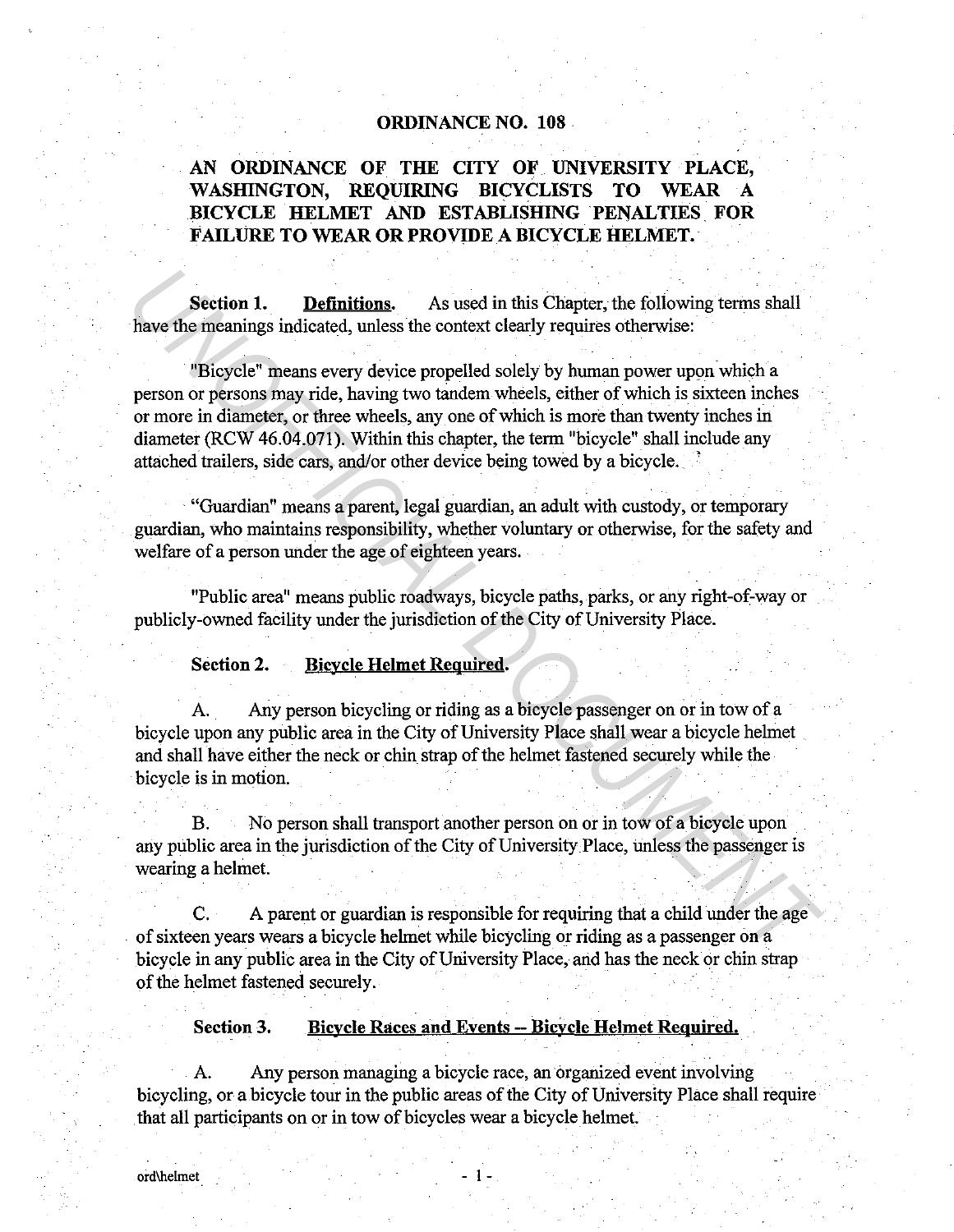## ORDINANCE NO. 108 .

# AN ORDINANCE OF THE CITY OF UNIVERSITY PLACE, WASHINGTON, REQUIRING BICYCLISTS TO WEAR A BICYCLE HELMET AND ESTABLISHING PENALTIES FOR FAILURE TO WEAR OR PROVIDE A BICYCLE HELMET.

Section 1. Definitions. As used in this Chapter, the following terms shall have the meanings indicated, unless the context clearly requires otherwise:

"Bicycle" means every device propelled solely by human power upon which a person or persons may ride, having two tandem wheels, either of which is sixteen inches or more in diameter, or three wheels, any one of which is more than twenty inches in diameter (RCW 46.04.071). Within this chapter, the term "bicycle" shall include any attached trailers, side cars, and/or other device being towed by a bicycle.. ' **Section 1. Definitions.** As used in this Chapter, the following terms shall<br>have the meanings indicated, unless the context clearly requires otherwise:<br>"Bicycle" means every device propelled solely by human power upon w

· "Guardian" means a parent, legal guardian, an adult with custody, or temporary guardian, who maintains responsibility, whether voluntary or otherwise, for the safety and welfare of a person under the age of eighteen years.

"Public area" means public roadways, bicycle paths, parks, or any right-of-way or publicly-owned facility under the jurisdiction of the City of University Place.

#### Section 2. Bicycle Helmet Required.

A. Any person bicycling or riding as a bicycle passenger on or in tow of a bicycle upon any public area in the City of University Place shall wear a bicycle helmet and shall have either the neck or chin strap of the helmet fastened securely while the bicycle is in motion.

B. No person shall transport another person on or in tow of a bicycle upon any public area in the jurisdiction of the City of University Place, unless the passenger is wearing a helmet.

C. A parent or guardian is responsible for requiring that a child under the age of sixteen years wears a bicycle helmet while bicycling or riding as a passenger on a bicycle in any public area in the City of University Place, and has the neck or chin strap of the helmet fastened securely.

Section 3. Bicycle Races and Events -- Bicycle Helmet Required.

A. Any person managing a bicycle race, an organized event involving bicycling, or a bicycle tour in the public areas of the City of University Place shall require . that all participants on or in tow of bicycles wear a bicycle helmet.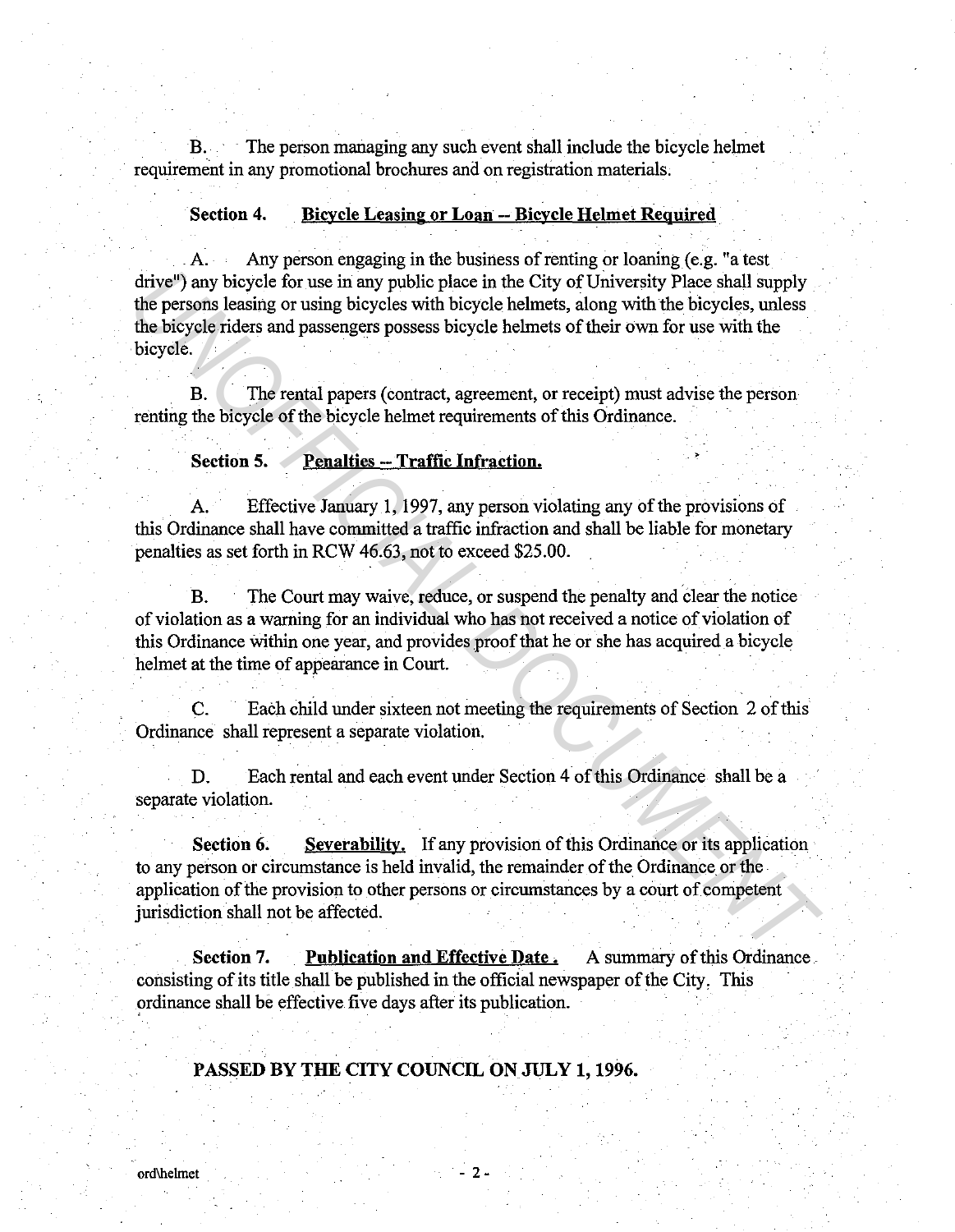B. · The person managing any such event shall include the bicycle helmet requirement in any promotional brochures and on registration materials.

#### **Section 4 . Bicycle Leasing or Loan -- Bicycle Helmet Required**

. A. Any person engaging in the business of renting or loaning (e.g. "a test drive") any bicycle for use in any public place in the City of University Place shall supply the persons leasing or using bicycles with bicycle helmets, along with the bicycles, unless the bicycle riders and passengers possess bicycle helmets of their own for use with the bicycle. drive<sup>n</sup>) any bicycle for use in any public place in the City of University Place shall supply<br>the persons leasing or using bicycles with bicycle helmets, along with the bicycles, unless<br>the persons leasing or using bicycl

B. The rental papers (contract, agreement, or receipt) must advise the person renting the bicycle of the bicycle helmet requirements of this Ordinance.

## Section 5. **Penalties -- Traffic Infraction.**

Effective January 1, 1997, any person violating any of the provisions of this Ordinance shall have committed a traffic infraction and shall be liable for monetary penalties as set forth in RCW 46.63, not to exceed \$25.00.

B. The Court may waive, reduce, or suspend the penalty and clear the notice of violation as a warning for an individual who has not received a notice of violation of this Ordinance Within one year, and provides proof that he or she has acquired a bicycle helmet at the time of appearance in Court.

C. Each child under sixteen not meeting the requirements of Section 2 of this Ordinance shall represent a separate violation.

D. Each rental and each event under Section 4 of this Ordinance shall be a separate violation.

**Section 6.** Severability. If any provision of this Ordinance or its application to any person or circumstance is held invalid, the remainder of the Ordinance or the application of the provision to other persons or circumstances by a court of competent jurisdiction shall not be affected.

**Section 7.** Publication and Effective Date. A summary of this Ordinance. consisting of its title shall be published in the official newspaper of the City, This ordinance shall be effective five days after its publication.

## **PASSED BY THE CITY COUNCIL ON JULY 1, 1996.**